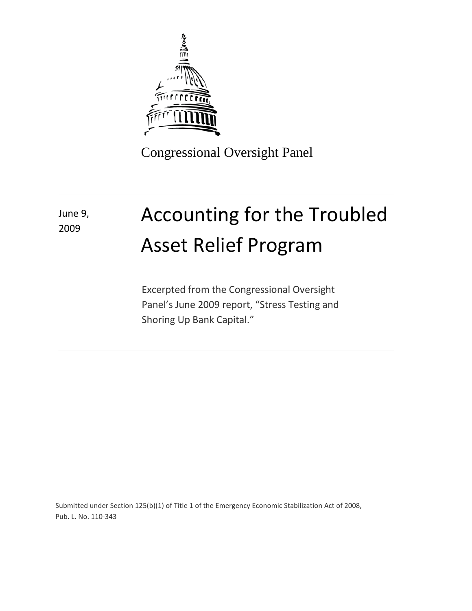

Congressional Oversight Panel

## Accounting for the Troubled Asset Relief Program June 9, 2009

Excerpted from the Congressional Oversight Panel's June 2009 report, "Stress Testing and Shoring Up Bank Capital."

Submitted under Section 125(b)(1) of Title 1 of the Emergency Economic Stabilization Act of 2008, Pub. L. No. 110-343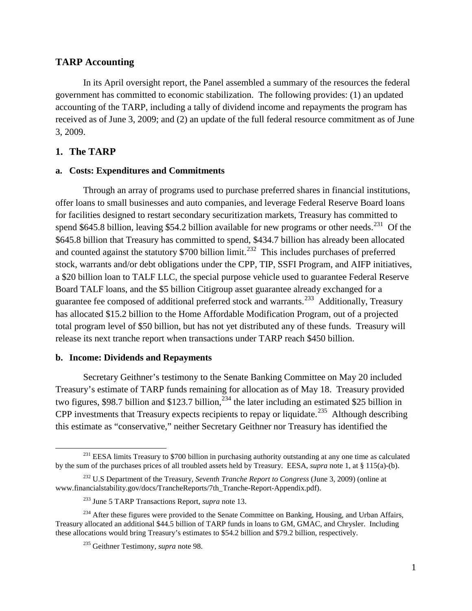## **TARP Accounting**

In its April oversight report, the Panel assembled a summary of the resources the federal government has committed to economic stabilization. The following provides: (1) an updated accounting of the TARP, including a tally of dividend income and repayments the program has received as of June 3, 2009; and (2) an update of the full federal resource commitment as of June 3, 2009.

## **1. The TARP**

 $\overline{\phantom{0}}$ 

#### **a. Costs: Expenditures and Commitments**

Through an array of programs used to purchase preferred shares in financial institutions, offer loans to small businesses and auto companies, and leverage Federal Reserve Board loans for facilities designed to restart secondary securitization markets, Treasury has committed to spend \$645.8 billion, leaving \$54.2 billion available for new programs or other needs.<sup>[231](#page-1-0)</sup> Of the \$645.8 billion that Treasury has committed to spend, \$434.7 billion has already been allocated and counted against the statutory  $$700$  billion limit.<sup>232</sup> This includes purchases of preferred stock, warrants and/or debt obligations under the CPP, TIP, SSFI Program, and AIFP initiatives, a \$20 billion loan to TALF LLC, the special purpose vehicle used to guarantee Federal Reserve Board TALF loans, and the \$5 billion Citigroup asset guarantee already exchanged for a guarantee fee composed of additional preferred stock and warrants.<sup>[233](#page-1-2)</sup> Additionally, Treasury has allocated \$15.2 billion to the Home Affordable Modification Program, out of a projected total program level of \$50 billion, but has not yet distributed any of these funds. Treasury will release its next tranche report when transactions under TARP reach \$450 billion.

#### **b. Income: Dividends and Repayments**

Secretary Geithner's testimony to the Senate Banking Committee on May 20 included Treasury's estimate of TARP funds remaining for allocation as of May 18. Treasury provided two figures, \$98.7 billion and \$123.7 billion,  $^{234}$  $^{234}$  $^{234}$  the later including an estimated \$25 billion in CPP investments that Treasury expects recipients to repay or liquidate.<sup>[235](#page-1-4)</sup> Although describing this estimate as "conservative," neither Secretary Geithner nor Treasury has identified the

<span id="page-1-0"></span><sup>&</sup>lt;sup>231</sup> EESA limits Treasury to \$700 billion in purchasing authority outstanding at any one time as calculated by the sum of the purchases prices of all troubled assets held by Treasury. EESA, *supra* note 1, at § 115(a)-(b).

<span id="page-1-1"></span><sup>232</sup> U.S Department of the Treasury, *Seventh Tranche Report to Congress* (June 3, 2009) (online at www.financialstability.gov/docs/TrancheReports/7th\_Tranche-Report-Appendix.pdf).

<sup>233</sup> June 5 TARP Transactions Report, *supra* note 13.

<span id="page-1-4"></span><span id="page-1-3"></span><span id="page-1-2"></span><sup>&</sup>lt;sup>234</sup> After these figures were provided to the Senate Committee on Banking, Housing, and Urban Affairs, Treasury allocated an additional \$44.5 billion of TARP funds in loans to GM, GMAC, and Chrysler. Including these allocations would bring Treasury's estimates to \$54.2 billion and \$79.2 billion, respectively.

<sup>235</sup> Geithner Testimony, *supra* note 98.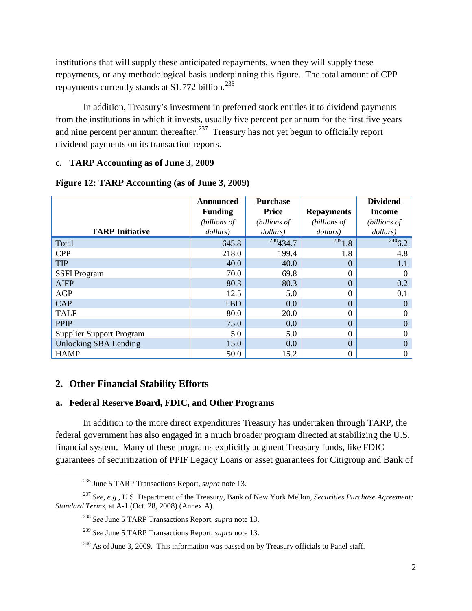institutions that will supply these anticipated repayments, when they will supply these repayments, or any methodological basis underpinning this figure. The total amount of CPP repayments currently stands at  $$1.772$  billion.<sup>[236](#page-2-0)</sup>

In addition, Treasury's investment in preferred stock entitles it to dividend payments from the institutions in which it invests, usually five percent per annum for the first five years and nine percent per annum thereafter. $237$  Treasury has not yet begun to officially report dividend payments on its transaction reports.

#### **c. TARP Accounting as of June 3, 2009**

|                                 | Announced<br><b>Funding</b> | <b>Purchase</b><br><b>Price</b> | <b>Repayments</b> | <b>Dividend</b><br>Income |
|---------------------------------|-----------------------------|---------------------------------|-------------------|---------------------------|
|                                 | (billions of                | (billions of                    | (billions of      | (billions of              |
| <b>TARP Initiative</b>          | dollars)                    | dollars)                        | dollars)          | dollars)                  |
| Total                           | 645.8                       | 238434.7                        | $\frac{239}{1.8}$ | $\frac{240}{6.2}$         |
| <b>CPP</b>                      | 218.0                       | 199.4                           | 1.8               | 4.8                       |
| <b>TIP</b>                      | 40.0                        | 40.0                            | $\Omega$          | 1.1                       |
| <b>SSFI</b> Program             | 70.0                        | 69.8                            | $\Omega$          |                           |
| <b>AIFP</b>                     | 80.3                        | 80.3                            | $\Omega$          | 0.2                       |
| <b>AGP</b>                      | 12.5                        | 5.0                             | $\theta$          | 0.1                       |
| <b>CAP</b>                      | <b>TBD</b>                  | 0.0                             | $\Omega$          |                           |
| <b>TALF</b>                     | 80.0                        | 20.0                            | $\Omega$          |                           |
| <b>PPIP</b>                     | 75.0                        | 0.0                             | $\theta$          |                           |
| <b>Supplier Support Program</b> | 5.0                         | 5.0                             | $\theta$          |                           |
| <b>Unlocking SBA Lending</b>    | 15.0                        | 0.0                             | $\Omega$          |                           |
| <b>HAMP</b>                     | 50.0                        | 15.2                            | $\overline{0}$    | 0                         |

## **Figure 12: TARP Accounting (as of June 3, 2009)**

## **2. Other Financial Stability Efforts**

 $\overline{\phantom{0}}$ 

### **a. Federal Reserve Board, FDIC, and Other Programs**

In addition to the more direct expenditures Treasury has undertaken through TARP, the federal government has also engaged in a much broader program directed at stabilizing the U.S. financial system. Many of these programs explicitly augment Treasury funds, like FDIC guarantees of securitization of PPIF Legacy Loans or asset guarantees for Citigroup and Bank of

<sup>236</sup> June 5 TARP Transactions Report, *supra* note 13.

<span id="page-2-4"></span><span id="page-2-3"></span><span id="page-2-2"></span><span id="page-2-1"></span><span id="page-2-0"></span><sup>237</sup> *See, e.g.,* U.S. Department of the Treasury, Bank of New York Mellon, *Securities Purchase Agreement: Standard Terms*, at A-1 (Oct. 28, 2008) (Annex A).

<sup>238</sup> *See* June 5 TARP Transactions Report, *supra* note 13.

<sup>239</sup> *See* June 5 TARP Transactions Report, *supra* note 13.

 $240$  As of June 3, 2009. This information was passed on by Treasury officials to Panel staff.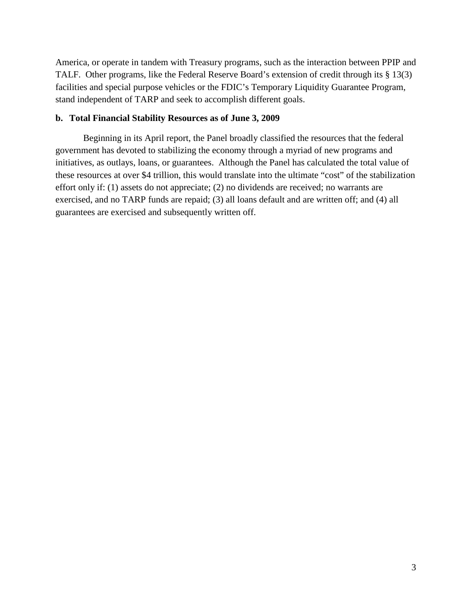America, or operate in tandem with Treasury programs, such as the interaction between PPIP and TALF. Other programs, like the Federal Reserve Board's extension of credit through its § 13(3) facilities and special purpose vehicles or the FDIC's Temporary Liquidity Guarantee Program, stand independent of TARP and seek to accomplish different goals.

#### **b. Total Financial Stability Resources as of June 3, 2009**

Beginning in its April report, the Panel broadly classified the resources that the federal government has devoted to stabilizing the economy through a myriad of new programs and initiatives, as outlays, loans, or guarantees. Although the Panel has calculated the total value of these resources at over \$4 trillion, this would translate into the ultimate "cost" of the stabilization effort only if: (1) assets do not appreciate; (2) no dividends are received; no warrants are exercised, and no TARP funds are repaid; (3) all loans default and are written off; and (4) all guarantees are exercised and subsequently written off.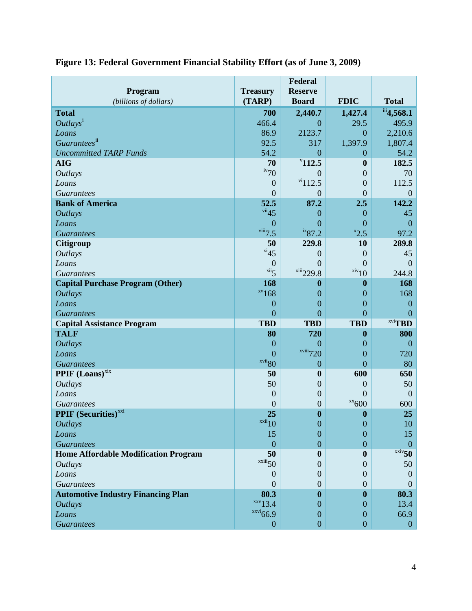| Program                                     | <b>Treasury</b>                          | Federal<br><b>Reserve</b>            |                                           |                             |
|---------------------------------------------|------------------------------------------|--------------------------------------|-------------------------------------------|-----------------------------|
| (billions of dollars)                       | (TARP)                                   | <b>Board</b>                         | <b>FDIC</b>                               | <b>Total</b>                |
| <b>Total</b>                                | 700                                      | 2,440.7                              | 1,427.4                                   | iii <sub>4,568.1</sub>      |
| Outlays <sup>1</sup>                        | 466.4                                    | $\overline{0}$                       | 29.5                                      | 495.9                       |
| Loans                                       | 86.9                                     | 2123.7                               | $\theta$                                  | 2,210.6                     |
| Guarantees <sup>ii</sup>                    | 92.5                                     | 317                                  | 1,397.9                                   | 1,807.4                     |
| <b>Uncommitted TARP Funds</b>               | 54.2                                     | $\overline{0}$                       | $\theta$                                  | 54.2                        |
| <b>AIG</b>                                  | 70                                       | "112.5"                              | $\boldsymbol{0}$                          | 182.5                       |
| <b>Outlays</b>                              | $\frac{iv}{70}$                          | $\Omega$                             | $\boldsymbol{0}$                          | 70                          |
| Loans                                       | $\theta$                                 | $\frac{vi}{112.5}$                   | $\overline{0}$                            | 112.5                       |
| <b>Guarantees</b>                           | $\overline{0}$                           | $\overline{0}$                       | $\overline{0}$                            | $\mathbf{0}$                |
| <b>Bank of America</b>                      | 52.5                                     | 87.2                                 | 2.5                                       | 142.2                       |
| <b>Outlays</b>                              | vii45                                    | $\overline{0}$                       | $\overline{0}$                            | 45                          |
| Loans                                       | $\theta$                                 | 0                                    | $\overline{0}$                            | $\overline{0}$              |
| <b>Guarantees</b>                           | viii7.5                                  | $ix_{87.2}$                          | $x_{2.5}$                                 | 97.2                        |
| <b>Citigroup</b>                            | 50<br>$x_i$ <sup>xi</sup> 45             | 229.8                                | 10                                        | 289.8                       |
| <b>Outlays</b>                              |                                          | $\overline{0}$                       | $\theta$                                  | 45                          |
| Loans                                       | $\overline{0}$<br>$\overline{\text{xi}}$ | $\overline{0}$<br>xiii229.8          | $\overline{0}$<br>$\frac{\text{xiv}}{10}$ | $\overline{0}$<br>244.8     |
| <b>Guarantees</b>                           |                                          |                                      |                                           |                             |
| <b>Capital Purchase Program (Other)</b>     | 168<br>$xv$ 168                          | $\boldsymbol{0}$                     | $\boldsymbol{0}$                          | 168<br>168                  |
| <b>Outlays</b><br>Loans                     | $\overline{0}$                           | $\boldsymbol{0}$<br>$\boldsymbol{0}$ | $\boldsymbol{0}$<br>$\mathbf{0}$          | $\boldsymbol{0}$            |
| <b>Guarantees</b>                           | $\overline{0}$                           | $\overline{0}$                       | $\overline{0}$                            | $\mathbf{0}$                |
| <b>Capital Assistance Program</b>           | <b>TBD</b>                               | <b>TBD</b>                           | <b>TBD</b>                                | $xvi$ <b>TBD</b>            |
| <b>TALF</b>                                 | 80                                       | 720                                  | $\boldsymbol{0}$                          | 800                         |
| <b>Outlays</b>                              | $\overline{0}$                           | $\overline{0}$                       | $\boldsymbol{0}$                          | $\boldsymbol{0}$            |
| Loans                                       | $\overline{0}$                           | $x^{viii}$ 720                       | $\mathbf{0}$                              | 720                         |
| <b>Guarantees</b>                           | xvii <sub>80</sub>                       | $\mathbf{0}$                         | $\overline{0}$                            | 80                          |
| <b>PPIF</b> (Loans) <sup>xix</sup>          | 50                                       | $\boldsymbol{0}$                     | 600                                       | 650                         |
| <b>Outlays</b>                              | 50                                       | $\mathbf{0}$                         | $\theta$                                  | 50                          |
| Loans                                       | $\theta$                                 | $\mathbf{0}$                         | $\overline{0}$                            | $\mathbf{0}$                |
| <b>Guarantees</b>                           | $\theta$                                 | $\overline{0}$                       | $\frac{xx}{600}$                          | 600                         |
| <b>PPIF</b> (Securities) <sup>xxi</sup>     | 25                                       | $\bf{0}$                             | $\boldsymbol{0}$                          | 25                          |
| <b>Outlays</b>                              | $\frac{xxii}{10}$                        | $\boldsymbol{0}$                     | $\theta$                                  | 10                          |
| Loans                                       | 15                                       | $\overline{0}$                       | $\theta$                                  | 15                          |
| <b>Guarantees</b>                           | $\overline{0}$                           | $\mathbf{0}$                         | $\overline{0}$                            | $\overline{0}$              |
| <b>Home Affordable Modification Program</b> | 50                                       | $\mathbf{0}$                         | $\boldsymbol{0}$                          | $\overline{\text{xxiv}}$ 50 |
| <b>Outlays</b>                              | $\frac{\text{xxiii}}{50}$                | $\Omega$                             | $\theta$                                  | 50                          |
| Loans                                       | $\Omega$                                 | $\Omega$                             | $\boldsymbol{0}$                          | $\overline{0}$              |
| <b>Guarantees</b>                           | $\Omega$                                 | $\overline{0}$                       | $\overline{0}$                            | $\Omega$                    |
| <b>Automotive Industry Financing Plan</b>   | 80.3                                     | $\boldsymbol{0}$                     | $\boldsymbol{0}$                          | 80.3                        |
| <b>Outlays</b>                              | $\frac{xxv}{13.4}$                       | $\Omega$                             | $\theta$                                  | 13.4                        |
| Loans                                       | xxi66.9                                  | $\mathbf{0}$                         | $\overline{0}$                            | 66.9                        |
| <b>Guarantees</b>                           | $\boldsymbol{0}$                         | $\overline{0}$                       | $\boldsymbol{0}$                          | $\mathbf{0}$                |

# **Figure 13: Federal Government Financial Stability Effort (as of June 3, 2009)**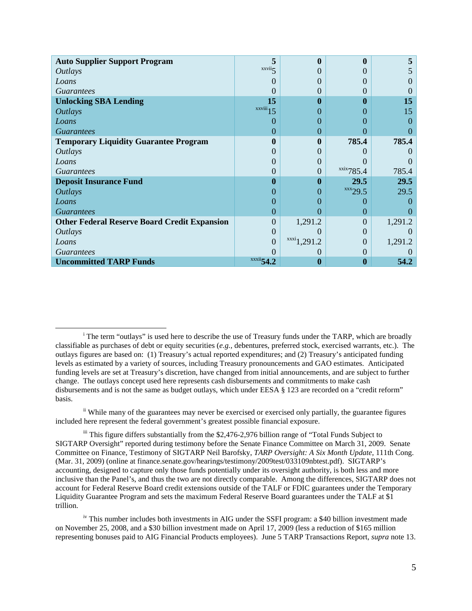| <b>Auto Supplier Support Program</b>                | 5                             | $\mathbf{0}$      | 0                  |               |
|-----------------------------------------------------|-------------------------------|-------------------|--------------------|---------------|
| <i>Outlays</i>                                      | xxvii                         |                   | 0                  |               |
| Loans                                               |                               |                   | $\theta$           |               |
| <i>Guarantees</i>                                   |                               | $\mathbf{0}$      | $\theta$           |               |
| <b>Unlocking SBA Lending</b>                        | 15                            | 0                 | $\bf{0}$           | 15            |
| <b>Outlays</b>                                      | $\overline{\text{xxviii}}$ 15 | $\theta$          | 0                  | 15            |
| Loans                                               | $\left( \right)$              | $\mathbf{\Omega}$ | $\theta$           | $\mathcal{O}$ |
| <b>Guarantees</b>                                   | $\left( \right)$              | $\Omega$          | 0                  |               |
| <b>Temporary Liquidity Guarantee Program</b>        | $\mathbf 0$                   | $\mathbf{0}$      | 785.4              | 785.4         |
| <i>Outlays</i>                                      | $\mathbf{\Omega}$             |                   |                    |               |
| Loans                                               | $\mathbf{\Omega}$             | $\Omega$          |                    |               |
| <i>Guarantees</i>                                   | 0                             | 0                 | $x$ xix $785.4$    | 785.4         |
| <b>Deposit Insurance Fund</b>                       | 0                             | $\mathbf{0}$      | 29.5               | 29.5          |
| <i><b>Outlays</b></i>                               | $\theta$                      | $\Omega$          | $\frac{XXX}{29.5}$ | 29.5          |
| Loans                                               | 0                             |                   | 0                  |               |
| <b>Guarantees</b>                                   | $\left( \right)$              | $\Omega$          | $\Omega$           |               |
| <b>Other Federal Reserve Board Credit Expansion</b> | $\left( \right)$              | 1,291.2           | $\theta$           | 1,291.2       |
| <i>Outlays</i>                                      | $\theta$                      |                   | $\theta$           |               |
| Loans                                               | $\overline{0}$                | $xxxi_1,291.2$    | 0                  | 1,291.2       |
| <i>Guarantees</i>                                   |                               | $\Omega$          | $\theta$           |               |
| <b>Uncommitted TARP Funds</b>                       | $xxxii$ 54.2                  | $\mathbf 0$       | 0                  | 54.2          |

 $\overline{\phantom{0}}$ 

<span id="page-5-0"></span><sup>&</sup>lt;sup>i</sup> The term "outlays" is used here to describe the use of Treasury funds under the TARP, which are broadly classifiable as purchases of debt or equity securities (*e.g.,* debentures, preferred stock, exercised warrants, etc.). The outlays figures are based on: (1) Treasury's actual reported expenditures; and (2) Treasury's anticipated funding levels as estimated by a variety of sources, including Treasury pronouncements and GAO estimates. Anticipated funding levels are set at Treasury's discretion, have changed from initial announcements, and are subject to further change. The outlays concept used here represents cash disbursements and commitments to make cash disbursements and is not the same as budget outlays, which under EESA § 123 are recorded on a "credit reform" basis.

<span id="page-5-1"></span>ii While many of the guarantees may never be exercised or exercised only partially, the guarantee figures included here represent the federal government's greatest possible financial exposure.

<span id="page-5-2"></span>iii This figure differs substantially from the \$2,476-2,976 billion range of "Total Funds Subject to SIGTARP Oversight" reported during testimony before the Senate Finance Committee on March 31, 2009. Senate Committee on Finance, Testimony of SIGTARP Neil Barofsky, *TARP Oversight: A Six Month Update*, 111th Cong. (Mar. 31, 2009) (online at finance.senate.gov/hearings/testimony/2009test/033109nbtest.pdf). SIGTARP's accounting, designed to capture only those funds potentially under its oversight authority, is both less and more inclusive than the Panel's, and thus the two are not directly comparable. Among the differences, SIGTARP does not account for Federal Reserve Board credit extensions outside of the TALF or FDIC guarantees under the Temporary Liquidity Guarantee Program and sets the maximum Federal Reserve Board guarantees under the TALF at \$1 trillion.

<span id="page-5-3"></span><sup>&</sup>lt;sup>iv</sup> This number includes both investments in AIG under the SSFI program: a \$40 billion investment made on November 25, 2008, and a \$30 billion investment made on April 17, 2009 (less a reduction of \$165 million representing bonuses paid to AIG Financial Products employees). June 5 TARP Transactions Report, *supra* note 13.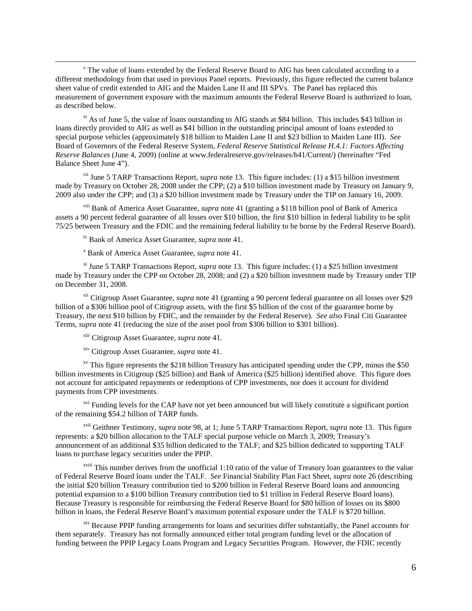<span id="page-6-0"></span> $\rm{v}$  The value of loans extended by the Federal Reserve Board to AIG has been calculated according to a different methodology from that used in previous Panel reports. Previously, this figure reflected the current balance sheet value of credit extended to AIG and the Maiden Lane II and III SPVs. The Panel has replaced this measurement of government exposure with the maximum amounts the Federal Reserve Board is authorized to loan, as described below.

<span id="page-6-1"></span> $v<sup>i</sup>$  As of June 5, the value of loans outstanding to AIG stands at \$84 billion. This includes \$43 billion in loans directly provided to AIG as well as \$41 billion in the outstanding principal amount of loans extended to special purpose vehicles (approximately \$18 billion to Maiden Lane II and \$23 billion to Maiden Lane III). *See*  Board of Governors of the Federal Reserve System, *Federal Reserve Statistical Release H.4.1: Factors Affecting Reserve Balances* (June 4, 2009) (online at www.federalreserve.gov/releases/h41/Current/) (hereinafter "Fed Balance Sheet June 4").

<span id="page-6-2"></span>vii June 5 TARP Transactions Report, *supra* note 13. This figure includes: (1) a \$15 billion investment made by Treasury on October 28, 2008 under the CPP; (2) a \$10 billion investment made by Treasury on January 9, 2009 also under the CPP; and (3) a \$20 billion investment made by Treasury under the TIP on January 16, 2009.

<span id="page-6-3"></span>viii Bank of America Asset Guarantee, *supra* note 41 (granting a \$118 billion pool of Bank of America assets a 90 percent federal guarantee of all losses over \$10 billion, the first \$10 billion in federal liability to be split 75/25 between Treasury and the FDIC and the remaining federal liability to be borne by the Federal Reserve Board).

ix Bank of America Asset Guarantee, *supra* note 41.

 $\overline{\phantom{0}}$ 

<sup>x</sup> Bank of America Asset Guarantee, *supra* note 41.

<span id="page-6-6"></span><span id="page-6-5"></span><span id="page-6-4"></span>xi June 5 TARP Transactions Report, *supra* note 13. This figure includes: (1) a \$25 billion investment made by Treasury under the CPP on October 28, 2008; and (2) a \$20 billion investment made by Treasury under TIP on December 31, 2008.

<span id="page-6-7"></span>xii Citigroup Asset Guarantee, *supra* note 41 (granting a 90 percent federal guarantee on all losses over \$29 billion of a \$306 billion pool of Citigroup assets, with the first \$5 billion of the cost of the guarantee borne by Treasury, the next \$10 billion by FDIC, and the remainder by the Federal Reserve). *See also* Final Citi Guarantee Terms, *supra* note 41 (reducing the size of the asset pool from \$306 billion to \$301 billion).

xiii Citigroup Asset Guarantee, *supra* note 41.

xiv Citigroup Asset Guarantee, *supra* note 41.

<span id="page-6-10"></span><span id="page-6-9"></span><span id="page-6-8"></span> $x<sup>v</sup>$  This figure represents the \$218 billion Treasury has anticipated spending under the CPP, minus the \$50 billion investments in Citigroup (\$25 billion) and Bank of America (\$25 billion) identified above. This figure does not account for anticipated repayments or redemptions of CPP investments, nor does it account for dividend payments from CPP investments.

<span id="page-6-11"></span><sup>xvi</sup> Funding levels for the CAP have not yet been announced but will likely constitute a significant portion of the remaining \$54.2 billion of TARP funds.

<span id="page-6-12"></span>xvii Geithner Testimony, *supra* note 98, at 1; June 5 TARP Transactions Report, *supra* note 13. This figure represents: a \$20 billion allocation to the TALF special purpose vehicle on March 3, 2009; Treasury's announcement of an additional \$35 billion dedicated to the TALF; and \$25 billion dedicated to supporting TALF loans to purchase legacy securities under the PPIP.

<span id="page-6-13"></span>xviii This number derives from the unofficial 1:10 ratio of the value of Treasury loan guarantees to the value of Federal Reserve Board loans under the TALF. *See* Financial Stability Plan Fact Sheet, *supra* note 26 (describing the initial \$20 billion Treasury contribution tied to \$200 billion in Federal Reserve Board loans and announcing potential expansion to a \$100 billion Treasury contribution tied to \$1 trillion in Federal Reserve Board loans). Because Treasury is responsible for reimbursing the Federal Reserve Board for \$80 billion of losses on its \$800 billion in loans, the Federal Reserve Board's maximum potential exposure under the TALF is \$720 billion.

<span id="page-6-14"></span>xix Because PPIP funding arrangements for loans and securities differ substantially, the Panel accounts for them separately. Treasury has not formally announced either total program funding level or the allocation of funding between the PPIP Legacy Loans Program and Legacy Securities Program. However, the FDIC recently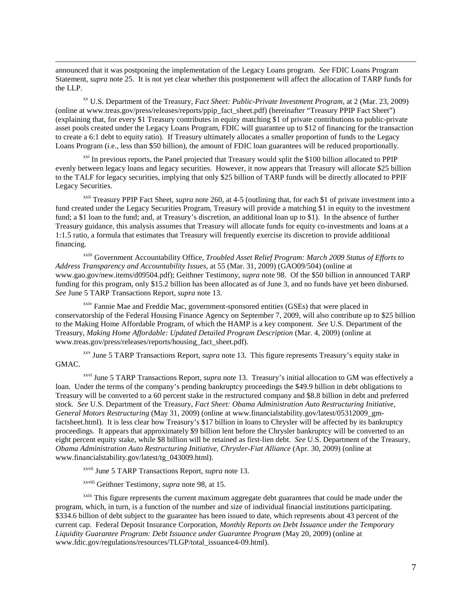announced that it was postponing the implementation of the Legacy Loans program. *See* FDIC Loans Program Statement, *supra* note 25. It is not yet clear whether this postponement will affect the allocation of TARP funds for the LLP.

 $\overline{\phantom{0}}$ 

<span id="page-7-0"></span>xx U.S. Department of the Treasury, *Fact Sheet: Public-Private Investment Program*, at 2 (Mar. 23, 2009) (online at www.treas.gov/press/releases/reports/ppip\_fact\_sheet.pdf) (hereinafter "Treasury PPIP Fact Sheet") (explaining that, for every \$1 Treasury contributes in equity matching \$1 of private contributions to public-private asset pools created under the Legacy Loans Program, FDIC will guarantee up to \$12 of financing for the transaction to create a 6:1 debt to equity ratio). If Treasury ultimately allocates a smaller proportion of funds to the Legacy Loans Program (i.e., less than \$50 billion), the amount of FDIC loan guarantees will be reduced proportionally.

<span id="page-7-1"></span> $\frac{xxi}{x}$  In previous reports, the Panel projected that Treasury would split the \$100 billion allocated to PPIP evenly between legacy loans and legacy securities. However, it now appears that Treasury will allocate \$25 billion to the TALF for legacy securities, implying that only \$25 billion of TARP funds will be directly allocated to PPIF Legacy Securities.

<span id="page-7-2"></span>xxii Treasury PPIP Fact Sheet, *supra* note 260, at 4-5 (outlining that, for each \$1 of private investment into a fund created under the Legacy Securities Program, Treasury will provide a matching \$1 in equity to the investment fund; a \$1 loan to the fund; and, at Treasury's discretion, an additional loan up to \$1). In the absence of further Treasury guidance, this analysis assumes that Treasury will allocate funds for equity co-investments and loans at a 1:1.5 ratio, a formula that estimates that Treasury will frequently exercise its discretion to provide additional financing.

<span id="page-7-3"></span>xxiii Government Accountability Office, *Troubled Asset Relief Program: March 2009 Status of Efforts to Address Transparency and Accountability Issues*, at 55 (Mar. 31, 2009) (GAO09/504) (online at www.gao.gov/new.items/d09504.pdf); Geithner Testimony, *supra* note 98. Of the \$50 billion in announced TARP funding for this program, only \$15.2 billion has been allocated as of June 3, and no funds have yet been disbursed. *See* June 5 TARP Transactions Report, *supra* note 13.

<span id="page-7-4"></span><sup>xxiv</sup> Fannie Mae and Freddie Mac, government-sponsored entities (GSEs) that were placed in conservatorship of the Federal Housing Finance Agency on September 7, 2009, will also contribute up to \$25 billion to the Making Home Affordable Program, of which the HAMP is a key component. *See* U.S. Department of the Treasury, *Making Home Affordable: Updated Detailed Program Description* (Mar. 4, 2009) (online at www.treas.gov/press/releases/reports/housing\_fact\_sheet.pdf).

<span id="page-7-5"></span>xxv June 5 TARP Transactions Report, *supra* note 13. This figure represents Treasury's equity stake in GMAC.

<span id="page-7-6"></span>xxvi June 5 TARP Transactions Report, *supra* note 13. Treasury's initial allocation to GM was effectively a loan. Under the terms of the company's pending bankruptcy proceedings the \$49.9 billion in debt obligations to Treasury will be converted to a 60 percent stake in the restructured company and \$8.8 billion in debt and preferred stock. *See* U.S. Department of the Treasury, *Fact Sheet: Obama Administration Auto Restructuring Initiative, General Motors Restructuring* (May 31, 2009) (online at www.financialstability.gov/latest/05312009\_gmfactsheet.html). It is less clear how Treasury's \$17 billion in loans to Chrysler will be affected by its bankruptcy proceedings. It appears that approximately \$9 billion lent before the Chrysler bankruptcy will be converted to an eight percent equity stake, while \$8 billion will be retained as first-lien debt. *See* U.S. Department of the Treasury, *Obama Administration Auto Restructuring Initiative, Chrysler-Fiat Alliance* (Apr. 30, 2009) (online at www.financialstability.gov/latest/tg\_043009.html).

xxvii June 5 TARP Transactions Report, *supra* note 13.

xxviii Geithner Testimony, *supra* note 98, at 15.

<span id="page-7-9"></span><span id="page-7-8"></span><span id="page-7-7"></span><sup>xxix</sup> This figure represents the current maximum aggregate debt guarantees that could be made under the program, which, in turn, is a function of the number and size of individual financial institutions participating. \$334.6 billion of debt subject to the guarantee has been issued to date, which represents about 43 percent of the current cap. Federal Deposit Insurance Corporation, *Monthly Reports on Debt Issuance under the Temporary Liquidity Guarantee Program: Debt Issuance under Guarantee Program* (May 20, 2009) (online at www.fdic.gov/regulations/resources/TLGP/total\_issuance4-09.html).